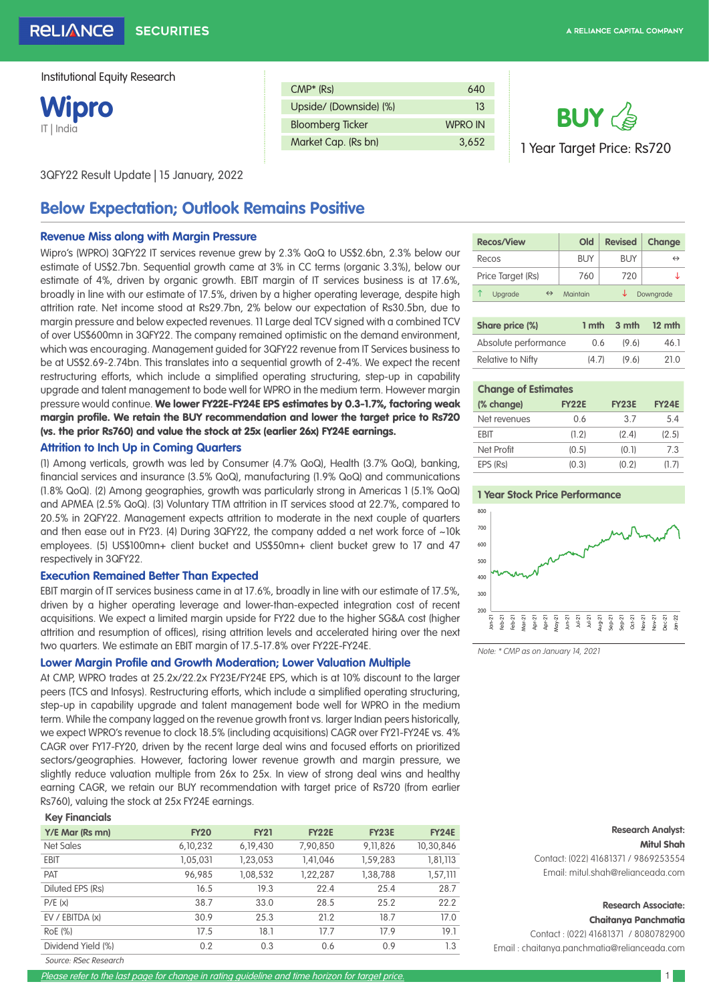**Wipro** IT | India

| $CMP*$ (Rs)             | 640     |
|-------------------------|---------|
| Upside/ (Downside) (%)  | 13      |
| <b>Bloomberg Ticker</b> | WPRO IN |
| Market Cap. (Rs bn)     | 3.652   |

3QFY22 Result Update | 15 January, 2022

# **Below Expectation; Outlook Remains Positive**

#### **Revenue Miss along with Margin Pressure**

Wipro's (WPRO) 3QFY22 IT services revenue grew by 2.3% QoQ to US\$2.6bn, 2.3% below our estimate of US\$2.7bn. Sequential growth came at 3% in CC terms (organic 3.3%), below our estimate of 4%, driven by organic growth. EBIT margin of IT services business is at 17.6%, broadly in line with our estimate of 17.5%, driven by a higher operating leverage, despite high attrition rate. Net income stood at Rs29.7bn, 2% below our expectation of Rs30.5bn, due to margin pressure and below expected revenues. 11 Large deal TCV signed with a combined TCV of over US\$600mn in 3QFY22. The company remained optimistic on the demand environment, which was encouraging. Management guided for 3QFY22 revenue from IT Services business to be at US\$2.69-2.74bn. This translates into a sequential growth of 2-4%. We expect the recent restructuring efforts, which include a simplified operating structuring, step-up in capability upgrade and talent management to bode well for WPRO in the medium term. However margin pressure would continue. We lower FY22E-FY24E EPS estimates by 0.3-1.7%, factoring weak margin profile. We retain the BUY recommendation and lower the target price to Rs720 (vs. the prior Rs760) and value the stock at 25x (earlier 26x) FY24E earnings.

#### **Attrition to Inch Up in Coming Quarters**

(1) Among verticals, growth was led by Consumer (4.7% QoQ), Health (3.7% QoQ), banking, financial services and insurance (3.5% QoQ), manufacturing (1.9% QoQ) and communications (1.8% QoQ). (2) Among geographies, growth was particularly strong in Americas 1 (5.1% QoQ) and APMEA (2.5% QoQ). (3) Voluntary TTM attrition in IT services stood at 22.7%, compared to 20.5% in 2QFY22. Management expects attrition to moderate in the next couple of quarters and then ease out in FY23. (4) During 3QFY22, the company added a net work force of ~10k employees. (5) US\$100mn+ client bucket and US\$50mn+ client bucket grew to 17 and 47 respectively in 3QFY22.

#### **Execution Remained Better Than Expected**

EBIT margin of IT services business came in at 17.6%, broadly in line with our estimate of 17.5%, driven by a higher operating leverage and lower-than-expected integration cost of recent acquisitions. We expect a limited margin upside for FY22 due to the higher SG&A cost (higher attrition and resumption of offices), rising attrition levels and accelerated hiring over the next two quarters. We estimate an EBIT margin of 17.5-17.8% over FY22E-FY24E.

#### **Lower Margin Profile and Growth Moderation; Lower Valuation Multiple**

At CMP, WPRO trades at 25.2x/22.2x FY23E/FY24E EPS, which is at 10% discount to the larger peers (TCS and Infosys). Restructuring efforts, which include a simplified operating structuring, step-up in capability upgrade and talent management bode well for WPRO in the medium term. While the company lagged on the revenue growth front vs. larger Indian peers historically, we expect WPRO's revenue to clock 18.5% (including acquisitions) CAGR over FY21-FY24E vs. 4% CAGR over FY17-FY20, driven by the recent large deal wins and focused efforts on prioritized sectors/geographies. However, factoring lower revenue growth and margin pressure, we slightly reduce valuation multiple from 26x to 25x. In view of strong deal wins and healthy earning CAGR, we retain our BUY recommendation with target price of Rs720 (from earlier Rs760), valuing the stock at 25x FY24E earnings.

| <b>Key Financials</b> |             |             |              |            |              |
|-----------------------|-------------|-------------|--------------|------------|--------------|
| Y/E Mar (Rs mn)       | <b>FY20</b> | <b>FY21</b> | <b>FY22E</b> | FY23E      | <b>FY24E</b> |
| Net Sales             | 6, 10, 232  | 6, 19, 430  | 7,90,850     | 9, 11, 826 | 10,30,846    |
| <b>EBIT</b>           | 1,05,031    | 1,23,053    | 1,41,046     | 1,59,283   | 1,81,113     |
| PAT                   | 96,985      | 1,08,532    | 1,22,287     | 1,38,788   | 1,57,111     |
| Diluted EPS (Rs)      | 16.5        | 19.3        | 22.4         | 25.4       | 28.7         |
| P/E(x)                | 38.7        | 33.0        | 28.5         | 25.2       | 22.2         |
| EV / EBITDA (x)       | 30.9        | 25.3        | 21.2         | 18.7       | 17.0         |
| RoE (%)               | 17.5        | 18.1        | 17.7         | 17.9       | 19.1         |
| Dividend Yield (%)    | 0.2         | 0.3         | 0.6          | 0.9        | 1.3          |
|                       |             |             |              |            |              |

Source: RSec Research

# **Recos/View Old Revised Change** Recos  $\vert$  BUY BUY  $\leftrightarrow$ Price Target (Rs)  $\begin{array}{|c|c|c|c|c|} \hline \end{array}$  760 720  $\begin{array}{|c|c|c|c|c|} \hline \end{array}$  $\uparrow$  Upgrade  $\leftrightarrow$  Maintain  $\downarrow$  Downgrade

**BUY** 

1 Year Target Price: Rs720

| Share price (%)      |       | $1$ mth $3$ mth $12$ mth |      |
|----------------------|-------|--------------------------|------|
| Absolute performance | 06    | (96)                     | 46.1 |
| Relative to Nifty    | (4.7) | (9.6)                    | 21.0 |

#### **Change of Estimates**

| $-1$ . The second $-$ |              |              |              |  |  |  |  |  |
|-----------------------|--------------|--------------|--------------|--|--|--|--|--|
| (% change)            | <b>FY22E</b> | <b>FY23E</b> | <b>FY24E</b> |  |  |  |  |  |
| Net revenues          | 06           | 37           | 54           |  |  |  |  |  |
| <b>FRIT</b>           | (1.2)        | (2.4)        | (2.5)        |  |  |  |  |  |
| Net Profit            | (0.5)        | (0.1)        | 73           |  |  |  |  |  |
| EPS (Rs)              | (0.3)        | (0.2)        | (1.7)        |  |  |  |  |  |

#### **1 Year Stock Price Performance**



Note: \* CMP as on January 14, 2021

## **Research Analyst:**

Mitul Shah Contact: (022) 41681371 / 9869253554 Email: mitul.shah@relianceada.com

#### **Research Associate:**  Chaitanya Panchmatia

Contact : (022) 41681371 / 8080782900 Email : chaitanya.panchmatia@relianceada.com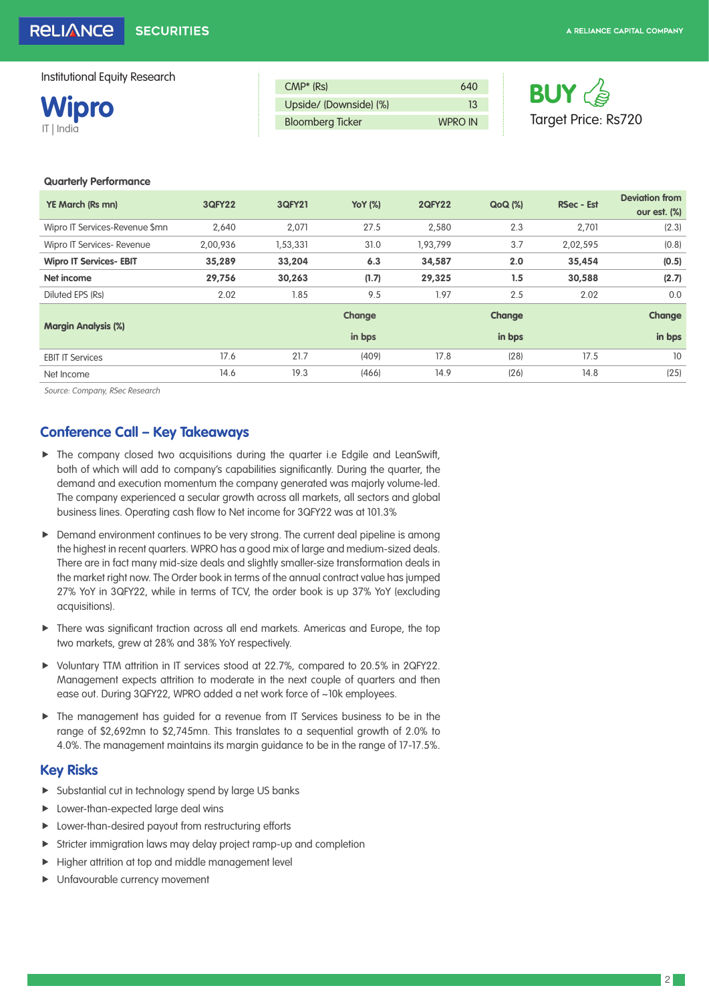**Wipro** IT | India

| $CMP*$ (Rs)             | 640            |
|-------------------------|----------------|
| Upside/ (Downside) (%)  |                |
| <b>Bloomberg Ticker</b> | <b>WPRO IN</b> |



#### **Quarterly Performance**

| <b>YE March (Rs mn)</b>        | <b>3QFY22</b> | <b>3QFY21</b> | <b>YoY</b> (%) | <b>2QFY22</b> | <b>QoQ</b> (%) | <b>RSec - Est</b> | <b>Deviation from</b> |
|--------------------------------|---------------|---------------|----------------|---------------|----------------|-------------------|-----------------------|
|                                |               |               |                |               |                |                   | our est. (%)          |
| Wipro IT Services-Revenue \$mn | 2,640         | 2,071         | 27.5           | 2,580         | 2.3            | 2,701             | (2.3)                 |
| Wipro IT Services- Revenue     | 2,00,936      | 1,53,331      | 31.0           | 1,93,799      | 3.7            | 2,02,595          | (0.8)                 |
| <b>Wipro IT Services- EBIT</b> | 35,289        | 33,204        | 6.3            | 34,587        | 2.0            | 35,454            | (0.5)                 |
| Net income                     | 29,756        | 30,263        | (1.7)          | 29,325        | 1.5            | 30,588            | (2.7)                 |
| Diluted EPS (Rs)               | 2.02          | 1.85          | 9.5            | 1.97          | 2.5            | 2.02              | 0.0                   |
|                                |               |               | Change         |               | Change         |                   | Change                |
| <b>Margin Analysis (%)</b>     |               |               | in bps         |               | in bps         |                   | in bps                |
| <b>EBIT IT Services</b>        | 17.6          | 21.7          | (409)          | 17.8          | (28)           | 17.5              | 10                    |
| Net Income                     | 14.6          | 19.3          | (466)          | 14.9          | (26)           | 14.8              | (25)                  |

Source: Company, RSec Research

## **Conference Call – Key Takeaways**

- $\blacktriangleright$  The company closed two acquisitions during the quarter i.e Edgile and LeanSwift, both of which will add to company's capabilities significantly. During the quarter, the demand and execution momentum the company generated was majorly volume-led. The company experienced a secular growth across all markets, all sectors and global business lines. Operating cash flow to Net income for 3QFY22 was at 101.3%
- **F** Demand environment continues to be very strong. The current deal pipeline is among the highest in recent quarters. WPRO has a good mix of large and medium-sized deals. There are in fact many mid-size deals and slightly smaller-size transformation deals in the market right now. The Order book in terms of the annual contract value has jumped 27% YoY in 3QFY22, while in terms of TCV, the order book is up 37% YoY (excluding acquisitions).
- $\triangleright$  There was significant traction across all end markets. Americas and Europe, the top two markets, grew at 28% and 38% YoY respectively.
- f Voluntary TTM attrition in IT services stood at 22.7%, compared to 20.5% in 2QFY22. Management expects attrition to moderate in the next couple of quarters and then ease out. During 3QFY22, WPRO added a net work force of ~10k employees.
- $\blacktriangleright$  The management has guided for a revenue from IT Services business to be in the range of \$2,692mn to \$2,745mn. This translates to a sequential growth of 2.0% to 4.0%. The management maintains its margin guidance to be in the range of 17-17.5%.

### **Key Risks**

- $\blacktriangleright$  Substantial cut in technology spend by large US banks
- $\blacktriangleright$  Lower-than-expected large deal wins
- $\blacktriangleright$  Lower-than-desired payout from restructuring efforts
- $\triangleright$  Stricter immigration laws may delay project ramp-up and completion
- $\blacktriangleright$  Higher attrition at top and middle management level
- Unfavourable currency movement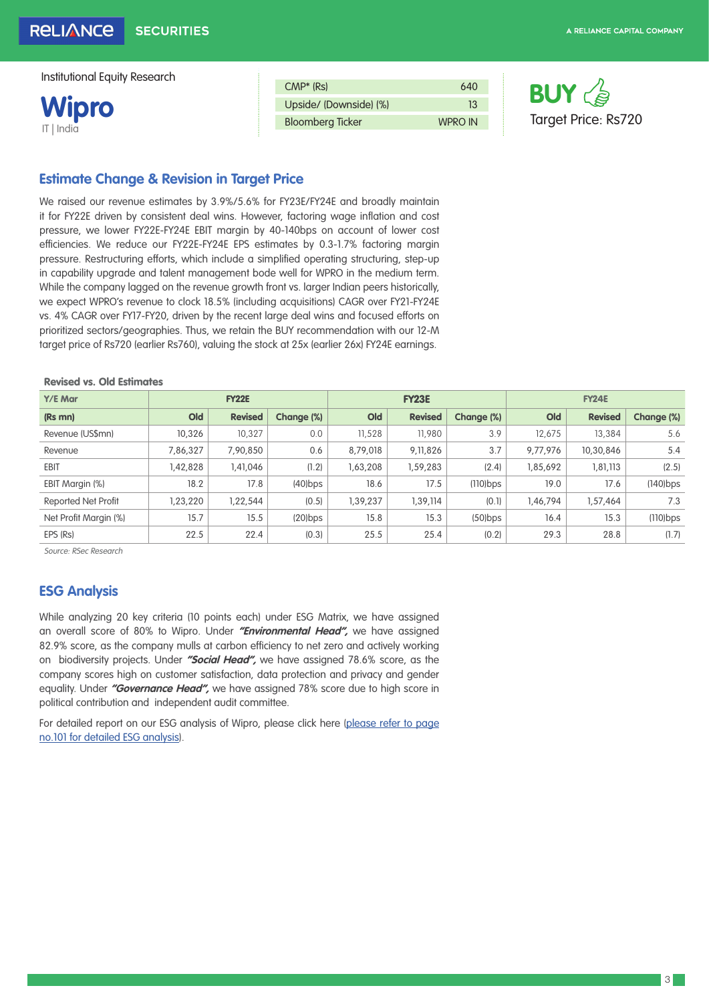**Wipro** IT | India

| $CMP*$ (Rs)             | 640            |
|-------------------------|----------------|
| Upside/ (Downside) (%)  | 13             |
| <b>Bloomberg Ticker</b> | <b>WPRO IN</b> |



# **Estimate Change & Revision in Target Price**

We raised our revenue estimates by 3.9%/5.6% for FY23E/FY24E and broadly maintain it for FY22E driven by consistent deal wins. However, factoring wage inflation and cost pressure, we lower FY22E-FY24E EBIT margin by 40-140bps on account of lower cost efficiencies. We reduce our FY22E-FY24E EPS estimates by 0.3-1.7% factoring margin pressure. Restructuring efforts, which include a simplified operating structuring, step-up in capability upgrade and talent management bode well for WPRO in the medium term. While the company lagged on the revenue growth front vs. larger Indian peers historically, we expect WPRO's revenue to clock 18.5% (including acquisitions) CAGR over FY21-FY24E vs. 4% CAGR over FY17-FY20, driven by the recent large deal wins and focused efforts on prioritized sectors/geographies. Thus, we retain the BUY recommendation with our 12-M target price of Rs720 (earlier Rs760), valuing the stock at 25x (earlier 26x) FY24E earnings.

#### Revised vs. Old Estimates

| Y/E Mar               |          | <b>FY22E</b>   |            |          | <b>FY23E</b>   |             |          | <b>FY24E</b>   |             |
|-----------------------|----------|----------------|------------|----------|----------------|-------------|----------|----------------|-------------|
| (Rs mn)               | Old      | <b>Revised</b> | Change (%) | Old      | <b>Revised</b> | Change (%)  | Old      | <b>Revised</b> | Change (%)  |
| Revenue (US\$mn)      | 10,326   | 10.327         | 0.0        | 11,528   | 11,980         | 3.9         | 12.675   | 13,384         | 5.6         |
| Revenue               | 7,86,327 | 7,90,850       | 0.6        | 8,79,018 | 9,11,826       | 3.7         | 9,77,976 | 10,30,846      | 5.4         |
| <b>EBIT</b>           | 1,42,828 | 1,41,046       | (1.2)      | 1,63,208 | 1,59,283       | (2.4)       | 1,85,692 | 1,81,113       | (2.5)       |
| EBIT Margin (%)       | 18.2     | 17.8           | $(40)$ bps | 18.6     | 17.5           | $(110)$ bps | 19.0     | 17.6           | $(140)$ bps |
| Reported Net Profit   | 1,23,220 | 1,22,544       | (0.5)      | 1,39,237 | 1,39,114       | (0.1)       | 1,46,794 | 1,57,464       | 7.3         |
| Net Profit Margin (%) | 15.7     | 15.5           | $(20)$ bps | 15.8     | 15.3           | $(50)$ bps  | 16.4     | 15.3           | $(110)$ bps |
| EPS (Rs)              | 22.5     | 22.4           | (0.3)      | 25.5     | 25.4           | (0.2)       | 29.3     | 28.8           | (1.7)       |

Source: RSec Research

## **ESG Analysis**

While analyzing 20 key criteria (10 points each) under ESG Matrix, we have assigned an overall score of 80% to Wipro. Under **"Environmental Head",** we have assigned 82.9% score, as the company mulls at carbon efficiency to net zero and actively working on biodiversity projects. Under **"Social Head",** we have assigned 78.6% score, as the company scores high on customer satisfaction, data protection and privacy and gender equality. Under **"Governance Head",** we have assigned 78% score due to high score in political contribution and independent audit committee.

For detailed report on our ESG analysis of Wipro, please click here ([please refer to page](https://www.reliancesmartmoney.com/docs/default-source/research-reports/it/it-sector-initiation-310321.pdf)  [no.101 for detailed ESG analysis](https://www.reliancesmartmoney.com/docs/default-source/research-reports/it/it-sector-initiation-310321.pdf)).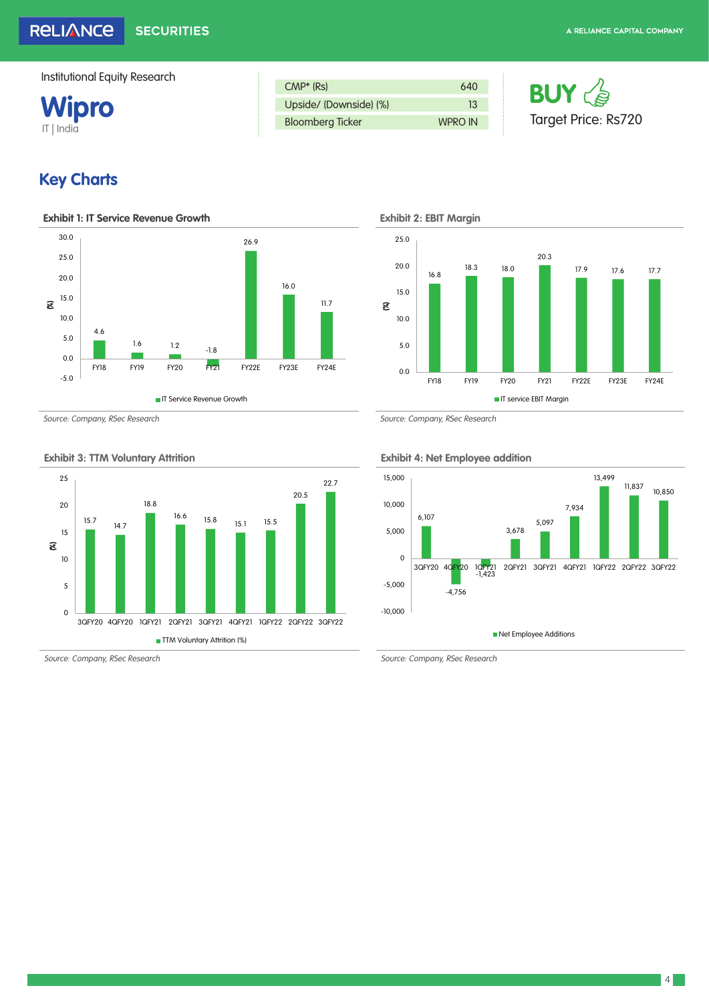

| $CMP*$ (Rs)             | 640            |
|-------------------------|----------------|
| Upside/ (Downside) (%)  | 13             |
| <b>Bloomberg Ticker</b> | <b>WPRO IN</b> |



# **Key Charts**



Source: Company, RSec Research Source: Company, RSec Research Source: Company, RSec Research



**Exhibit 3: TTM Voluntary Attrition Exhibit 4: Net Employee addition**

16.8 18.3 18.0 20.3 17.9 17.6 17.7 0.0 5.0 10.0 15.0 20.0 25.0 FY18 FY19 FY20 FY21 FY22E FY23E FY24E (%) **IT service EBIT Margin** 



Source: Company, RSec Research Source: Company, RSec Research Source: Company, RSec Research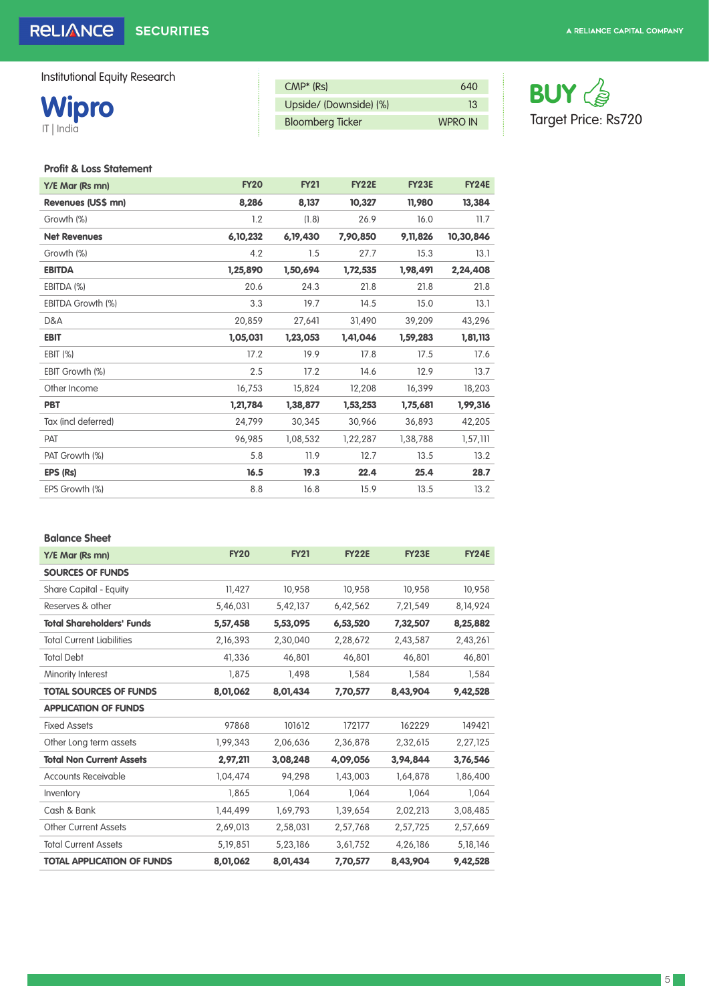# **Wipro** IT | India

| $CMP*$ (Rs)             | 640            |
|-------------------------|----------------|
| Upside/ (Downside) (%)  | 13             |
| <b>Bloomberg Ticker</b> | <b>WPRO IN</b> |



## **Profit & Loss Statement**

| Y/E Mar (Rs mn)     | <b>FY20</b> | <b>FY21</b> | <b>FY22E</b> | <b>FY23E</b> | <b>FY24E</b> |
|---------------------|-------------|-------------|--------------|--------------|--------------|
| Revenues (US\$ mn)  | 8,286       | 8,137       | 10,327       | 11,980       | 13,384       |
| Growth (%)          | 1.2         | (1.8)       | 26.9         | 16.0         | 11.7         |
| <b>Net Revenues</b> | 6,10,232    | 6, 19, 430  | 7,90,850     | 9, 11, 826   | 10,30,846    |
| Growth (%)          | 4.2         | 1.5         | 27.7         | 15.3         | 13.1         |
| <b>EBITDA</b>       | 1,25,890    | 1,50,694    | 1,72,535     | 1,98,491     | 2,24,408     |
| EBITDA (%)          | 20.6        | 24.3        | 21.8         | 21.8         | 21.8         |
| EBITDA Growth (%)   | 3.3         | 19.7        | 14.5         | 15.0         | 13.1         |
| D&A                 | 20,859      | 27,641      | 31,490       | 39,209       | 43,296       |
| <b>EBIT</b>         | 1,05,031    | 1,23,053    | 1,41,046     | 1,59,283     | 1,81,113     |
| EBIT (%)            | 17.2        | 19.9        | 17.8         | 17.5         | 17.6         |
| EBIT Growth (%)     | 2.5         | 17.2        | 14.6         | 12.9         | 13.7         |
| Other Income        | 16,753      | 15,824      | 12,208       | 16,399       | 18,203       |
| <b>PBT</b>          | 1,21,784    | 1,38,877    | 1,53,253     | 1,75,681     | 1,99,316     |
| Tax (incl deferred) | 24,799      | 30,345      | 30.966       | 36.893       | 42,205       |
| PAT                 | 96,985      | 1,08,532    | 1,22,287     | 1,38,788     | 1,57,111     |
| PAT Growth (%)      | 5.8         | 11.9        | 12.7         | 13.5         | 13.2         |
| EPS (Rs)            | 16.5        | 19.3        | 22.4         | 25.4         | 28.7         |
| EPS Growth (%)      | 8.8         | 16.8        | 15.9         | 13.5         | 13.2         |
|                     |             |             |              |              |              |

#### **Balance Sheet**

| Y/E Mar (Rs mn)                   | <b>FY20</b> | <b>FY21</b> | <b>FY22E</b> | <b>FY23E</b> | <b>FY24E</b> |
|-----------------------------------|-------------|-------------|--------------|--------------|--------------|
| <b>SOURCES OF FUNDS</b>           |             |             |              |              |              |
| Share Capital - Equity            | 11,427      | 10,958      | 10,958       | 10,958       | 10,958       |
| Reserves & other                  | 5,46,031    | 5,42,137    | 6,42,562     | 7,21,549     | 8, 14, 924   |
| <b>Total Shareholders' Funds</b>  | 5,57,458    | 5,53,095    | 6,53,520     | 7,32,507     | 8,25,882     |
| <b>Total Current Liabilities</b>  | 2,16,393    | 2,30,040    | 2,28,672     | 2,43,587     | 2,43,261     |
| <b>Total Debt</b>                 | 41,336      | 46,801      | 46,801       | 46,801       | 46,801       |
| Minority Interest                 | 1,875       | 1,498       | 1,584        | 1,584        | 1,584        |
| <b>TOTAL SOURCES OF FUNDS</b>     | 8,01,062    | 8,01,434    | 7,70,577     | 8,43,904     | 9,42,528     |
| <b>APPLICATION OF FUNDS</b>       |             |             |              |              |              |
| <b>Fixed Assets</b>               | 97868       | 101612      | 172177       | 162229       | 149421       |
| Other Long term assets            | 1,99,343    | 2,06,636    | 2,36,878     | 2,32,615     | 2,27,125     |
| <b>Total Non Current Assets</b>   | 2,97,211    | 3,08,248    | 4,09,056     | 3,94,844     | 3,76,546     |
| Accounts Receivable               | 1,04,474    | 94,298      | 1,43,003     | 1,64,878     | 1,86,400     |
| Inventory                         | 1,865       | 1,064       | 1,064        | 1,064        | 1,064        |
| Cash & Bank                       | 1,44,499    | 1,69,793    | 1,39,654     | 2,02,213     | 3,08,485     |
| <b>Other Current Assets</b>       | 2,69,013    | 2,58,031    | 2,57,768     | 2,57,725     | 2,57,669     |
| <b>Total Current Assets</b>       | 5, 19, 851  | 5,23,186    | 3,61,752     | 4,26,186     | 5, 18, 146   |
| <b>TOTAL APPLICATION OF FUNDS</b> | 8,01,062    | 8,01,434    | 7,70,577     | 8,43,904     | 9,42,528     |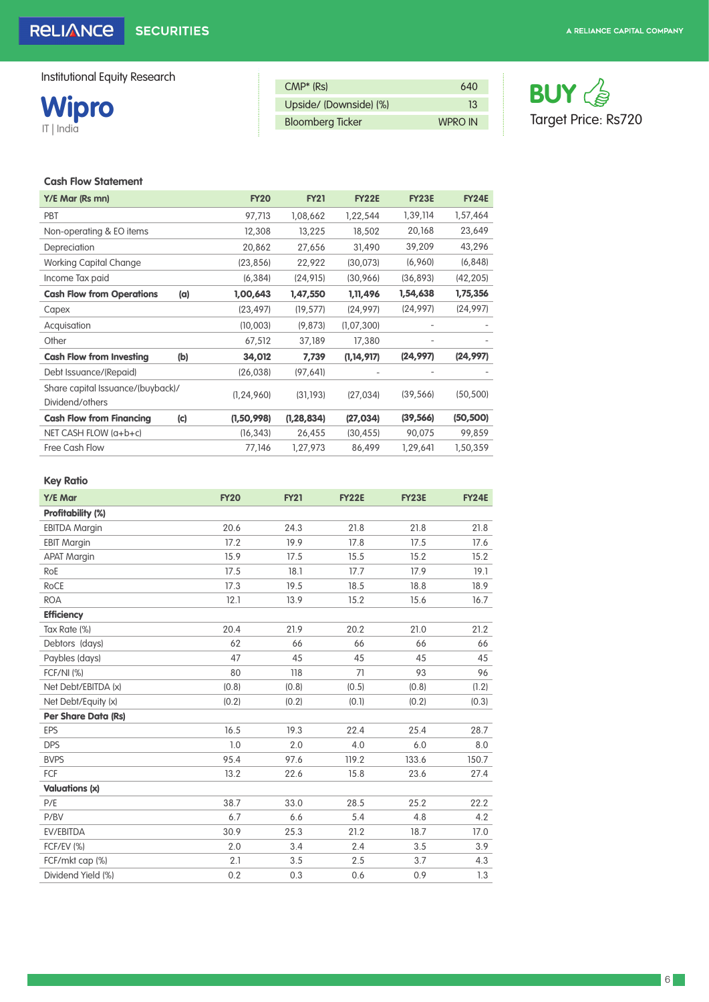**Wipro** IT | India

| $CMP*$ (Rs)             | 640            |
|-------------------------|----------------|
| Upside/ (Downside) (%)  | 13             |
| <b>Bloomberg Ticker</b> | <b>WPRO IN</b> |



#### **Cash Flow Statement**

| Y/E Mar (Rs mn)                                      |     | <b>FY20</b>  | <b>FY21</b>  | <b>FY22E</b> | <b>FY23E</b> | <b>FY24E</b> |
|------------------------------------------------------|-----|--------------|--------------|--------------|--------------|--------------|
| PBT                                                  |     | 97,713       | 1,08,662     | 1,22,544     | 1,39,114     | 1,57,464     |
| Non-operating & EO items                             |     | 12,308       | 13,225       | 18,502       | 20,168       | 23,649       |
| Depreciation                                         |     | 20,862       | 27,656       | 31,490       | 39,209       | 43,296       |
| <b>Working Capital Change</b>                        |     | (23, 856)    | 22,922       | (30,073)     | (6,960)      | (6, 848)     |
| Income Tax paid                                      |     | (6, 384)     | (24, 915)    | (30,966)     | (36, 893)    | (42, 205)    |
| <b>Cash Flow from Operations</b>                     | (a) | 1,00,643     | 1,47,550     | 1,11,496     | 1,54,638     | 1,75,356     |
| Capex                                                |     | (23, 497)    | (19, 577)    | (24, 997)    | (24, 997)    | (24, 997)    |
| Acquisation                                          |     | (10,003)     | (9,873)      | (1,07,300)   |              |              |
| Other                                                |     | 67,512       | 37,189       | 17,380       |              |              |
| <b>Cash Flow from Investing</b>                      | (b) | 34,012       | 7,739        | (1, 14, 917) | (24, 997)    | (24, 997)    |
| Debt Issuance/(Repaid)                               |     | (26, 038)    | (97, 64]     |              |              |              |
| Share capital Issuance/(buyback)/<br>Dividend/others |     | (1, 24, 960) | (31, 193)    | (27, 034)    | (39, 566)    | (50, 500)    |
| <b>Cash Flow from Financing</b>                      | (c) | (1,50,998)   | (1, 28, 834) | (27, 034)    | (39, 566)    | (50, 500)    |
| NET CASH FLOW (a+b+c)                                |     | (16, 343)    | 26,455       | (30, 455)    | 90,075       | 99,859       |
| Free Cash Flow                                       |     | 77,146       | 1,27,973     | 86,499       | 1,29,641     | 1,50,359     |
|                                                      |     |              |              |              |              |              |

#### **Key Ratio**

| Y/E Mar                    | <b>FY20</b> | <b>FY21</b> | <b>FY22E</b> | <b>FY23E</b> | <b>FY24E</b> |
|----------------------------|-------------|-------------|--------------|--------------|--------------|
| Profitability (%)          |             |             |              |              |              |
| <b>EBITDA Margin</b>       | 20.6        | 24.3        | 21.8         | 21.8         | 21.8         |
| <b>EBIT Margin</b>         | 17.2        | 19.9        | 17.8         | 17.5         | 17.6         |
| <b>APAT Margin</b>         | 15.9        | 17.5        | 15.5         | 15.2         | 15.2         |
| RoE                        | 17.5        | 18.1        | 17.7         | 17.9         | 19.1         |
| RoCE                       | 17.3        | 19.5        | 18.5         | 18.8         | 18.9         |
| <b>ROA</b>                 | 12.1        | 13.9        | 15.2         | 15.6         | 16.7         |
| <b>Efficiency</b>          |             |             |              |              |              |
| Tax Rate (%)               | 20.4        | 21.9        | 20.2         | 21.0         | 21.2         |
| Debtors (days)             | 62          | 66          | 66           | 66           | 66           |
| Paybles (days)             | 47          | 45          | 45           | 45           | 45           |
| <b>FCF/NI (%)</b>          | 80          | 118         | 71           | 93           | 96           |
| Net Debt/EBITDA (x)        | (0.8)       | (0.8)       | (0.5)        | (0.8)        | (1.2)        |
| Net Debt/Equity (x)        | (0.2)       | (0.2)       | (0.1)        | (0.2)        | (0.3)        |
| <b>Per Share Data (Rs)</b> |             |             |              |              |              |
| <b>EPS</b>                 | 16.5        | 19.3        | 22.4         | 25.4         | 28.7         |
| <b>DPS</b>                 | 1.0         | 2.0         | 4.0          | 6.0          | 8.0          |
| <b>BVPS</b>                | 95.4        | 97.6        | 119.2        | 133.6        | 150.7        |
| FCF                        | 13.2        | 22.6        | 15.8         | 23.6         | 27.4         |
| <b>Valuations (x)</b>      |             |             |              |              |              |
| P/E                        | 38.7        | 33.0        | 28.5         | 25.2         | 22.2         |
| P/BV                       | 6.7         | 6.6         | 5.4          | 4.8          | 4.2          |
| EV/EBITDA                  | 30.9        | 25.3        | 21.2         | 18.7         | 17.0         |
| <b>FCF/EV (%)</b>          | 2.0         | 3.4         | 2.4          | 3.5          | 3.9          |
| FCF/mkt cap (%)            | 2.1         | 3.5         | 2.5          | 3.7          | 4.3          |
| Dividend Yield (%)         | 0.2         | 0.3         | 0.6          | 0.9          | 1.3          |